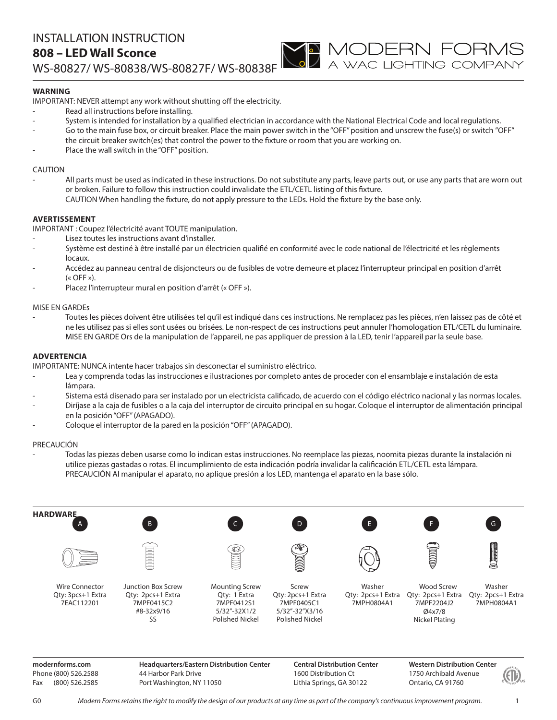# **WARNING**

IMPORTANT: NEVER attempt any work without shutting off the electricity.

- Read all instructions before installing.
- System is intended for installation by a qualified electrician in accordance with the National Electrical Code and local regulations.
- Go to the main fuse box, or circuit breaker. Place the main power switch in the "OFF" position and unscrew the fuse(s) or switch "OFF" the circuit breaker switch(es) that control the power to the fixture or room that you are working on.

**YO MODERN FORMS**<br>A wac lighting company

Place the wall switch in the "OFF" position.

## CAUTION

All parts must be used as indicated in these instructions. Do not substitute any parts, leave parts out, or use any parts that are worn out or broken. Failure to follow this instruction could invalidate the ETL/CETL listing of this fixture. CAUTION When handling the fixture, do not apply pressure to the LEDs. Hold the fixture by the base only.

## **AVERTISSEMENT**

IMPORTANT : Coupez l'électricité avant TOUTE manipulation.

- Lisez toutes les instructions avant d'installer.
- Système est destiné à être installé par un électricien qualifié en conformité avec le code national de l'électricité et les règlements locaux.
- Accédez au panneau central de disjoncteurs ou de fusibles de votre demeure et placez l'interrupteur principal en position d'arrêt  $(\kappa$  OFF »).
- Placez l'interrupteur mural en position d'arrêt (« OFF »).

#### MISE EN GARDEs

- Toutes les pièces doivent être utilisées tel qu'il est indiqué dans ces instructions. Ne remplacez pas les pièces, n'en laissez pas de côté et ne les utilisez pas si elles sont usées ou brisées. Le non-respect de ces instructions peut annuler l'homologation ETL/CETL du luminaire. MISE EN GARDE Ors de la manipulation de l'appareil, ne pas appliquer de pression à la LED, tenir l'appareil par la seule base.

### **ADVERTENCIA**

IMPORTANTE: NUNCA intente hacer trabajos sin desconectar el suministro eléctrico.

- Lea y comprenda todas las instrucciones e ilustraciones por completo antes de proceder con el ensamblaje e instalación de esta lámpara.
- Sistema está disenado para ser instalado por un electricista calificado, de acuerdo con el código eléctrico nacional y las normas locales.
- Diríjase a la caja de fusibles o a la caja del interruptor de circuito principal en su hogar. Coloque el interruptor de alimentación principal en la posición "OFF" (APAGADO).
- Coloque el interruptor de la pared en la posición "OFF" (APAGADO).

## PRECAUCIÓN

- Todas las piezas deben usarse como lo indican estas instrucciones. No reemplace las piezas, noomita piezas durante la instalación ni utilice piezas gastadas o rotas. El incumplimiento de esta indicación podría invalidar la calificación ETL/CETL esta lámpara. PRECAUCIÓN Al manipular el aparato, no aplique presión a los LED, mantenga el aparato en la base sólo.



**modernforms.com** Phone (800) 526.2588 Fax (800) 526.2585

**Headquarters/Eastern Distribution Center** 44 Harbor Park Drive Port Washington, NY 11050

**Central Distribution Center** 1600 Distribution Ct Lithia Springs, GA 30122

**Western Distribution Center**  1750 Archibald Avenue Ontario, CA 91760